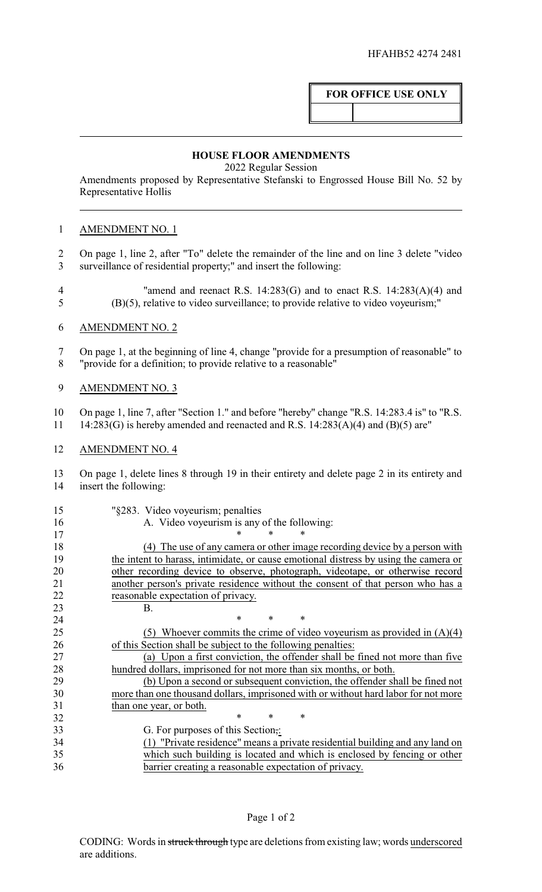## **FOR OFFICE USE ONLY**

## **HOUSE FLOOR AMENDMENTS**

2022 Regular Session

Amendments proposed by Representative Stefanski to Engrossed House Bill No. 52 by Representative Hollis

## AMENDMENT NO. 1

- On page 1, line 2, after "To" delete the remainder of the line and on line 3 delete "video surveillance of residential property;" and insert the following:
- "amend and reenact R.S. 14:283(G) and to enact R.S. 14:283(A)(4) and (B)(5), relative to video surveillance; to provide relative to video voyeurism;"
- AMENDMENT NO. 2
- On page 1, at the beginning of line 4, change "provide for a presumption of reasonable" to "provide for a definition; to provide relative to a reasonable"
- AMENDMENT NO. 3
- On page 1, line 7, after "Section 1." and before "hereby" change "R.S. 14:283.4 is" to "R.S. 11 14:283(G) is hereby amended and reenacted and R.S.  $14:283(A)(4)$  and (B)(5) are"
- AMENDMENT NO. 4

 On page 1, delete lines 8 through 19 in their entirety and delete page 2 in its entirety and insert the following:

- 
- "§283. Video voyeurism; penalties
- A. Video voyeurism is any of the following:
- 17 \* \* \* \*

 (4) The use of any camera or other image recording device by a person with the intent to harass, intimidate, or cause emotional distress by using the camera or 20 other recording device to observe, photograph, videotape, or otherwise record another person's private residence without the consent of that person who has a reasonable expectation of privacy. B.

**\*** \* \* \*

 (5) Whoever commits the crime of video voyeurism as provided in (A)(4) of this Section shall be subject to the following penalties:

 (a) Upon a first conviction, the offender shall be fined not more than five hundred dollars, imprisoned for not more than six months, or both.

 (b) Upon a second or subsequent conviction, the offender shall be fined not more than one thousand dollars, imprisoned with or without hard labor for not more than one year, or both.

32 \* \* \* \* 33 G. For purposes of this Section;<br>34 (1) "Private residence" means a p 34 (1) "Private residence" means a private residential building and any land on which such building is located and which is enclosed by fencing or other which such building is located and which is enclosed by fencing or other barrier creating a reasonable expectation of privacy.